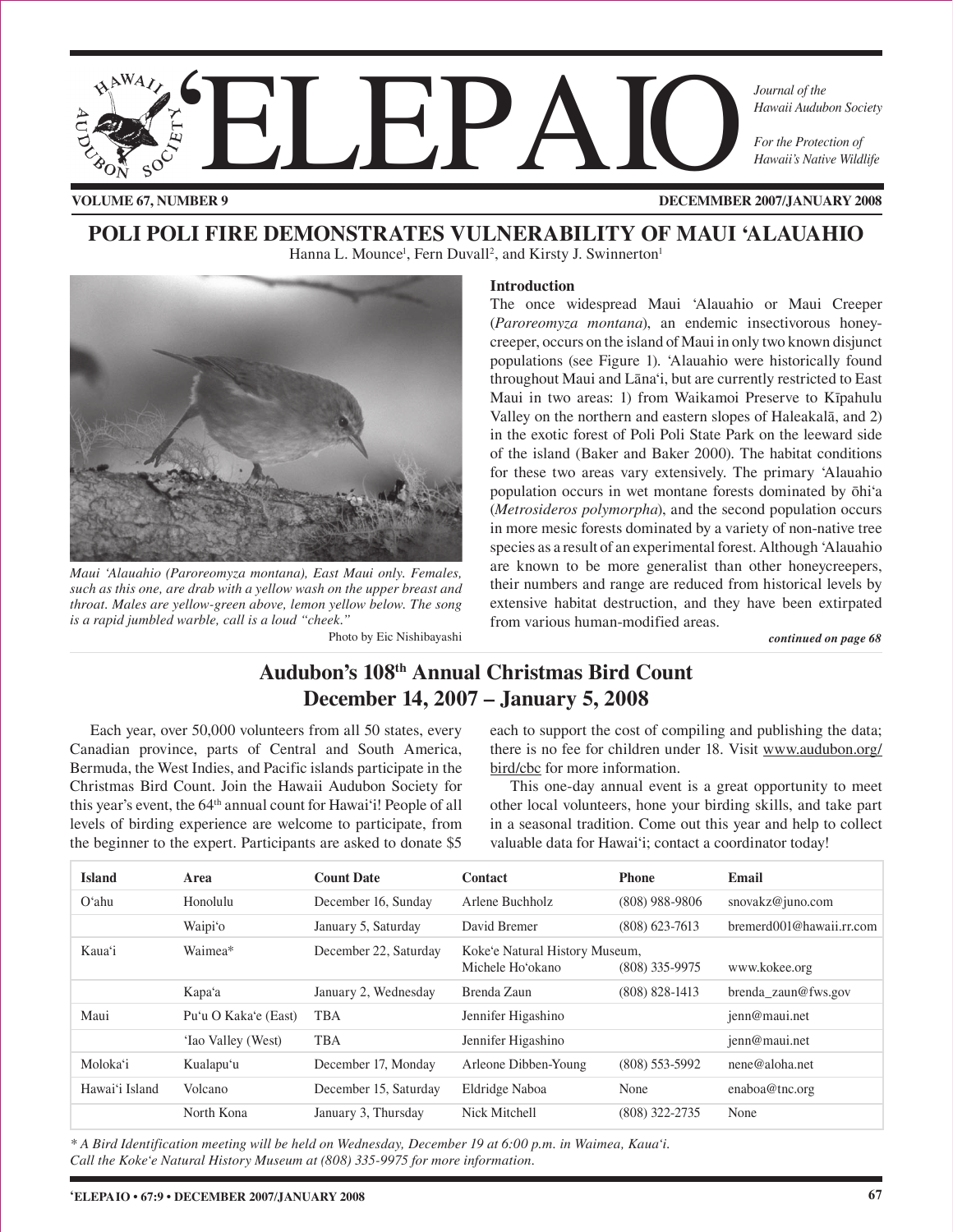

**VOLUME 67, NUMBER 9**

**DECEMMBER 2007/JANUARY 2008**

## **POLI POLI FIRE DEMONSTRATES VULNERABILITY OF MAUI 'ALAUAHIO** Hanna L. Mounce<sup>1</sup>, Fern Duvall<sup>2</sup>, and Kirsty J. Swinnerton<sup>1</sup>



*Maui 'Alauahio (Paroreomyza montana), East Maui only. Females, such as this one, are drab with a yellow wash on the upper breast and throat. Males are yellow-green above, lemon yellow below. The song is a rapid jumbled warble, call is a loud "cheek."* 

Photo by Eic Nishibayashi *continued on page 68* 

#### **Introduction**

The once widespread Maui 'Alauahio or Maui Creeper (*Paroreomyza montana*), an endemic insectivorous honeycreeper, occurs on the island of Maui in only two known disjunct populations (see Figure 1). 'Alauahio were historically found throughout Maui and Läna'i, but are currently restricted to East Maui in two areas: 1) from Waikamoi Preserve to Kïpahulu Valley on the northern and eastern slopes of Haleakalä, and 2) in the exotic forest of Poli Poli State Park on the leeward side of the island (Baker and Baker 2000). The habitat conditions for these two areas vary extensively. The primary 'Alauahio population occurs in wet montane forests dominated by öhi'a (*Metrosideros polymorpha*), and the second population occurs in more mesic forests dominated by a variety of non-native tree species as a result of an experimental forest. Although 'Alauahio are known to be more generalist than other honeycreepers, their numbers and range are reduced from historical levels by extensive habitat destruction, and they have been extirpated from various human-modified areas.

## **Audubon's 108th Annual Christmas Bird Count December 14, 2007 – January 5, 2008**

Each year, over 50,000 volunteers from all 50 states, every Canadian province, parts of Central and South America, Bermuda, the West Indies, and Pacific islands participate in the Christmas Bird Count. Join the Hawaii Audubon Society for this year's event, the 64<sup>th</sup> annual count for Hawai'i! People of all levels of birding experience are welcome to participate, from the beginner to the expert. Participants are asked to donate \$5

each to support the cost of compiling and publishing the data; there is no fee for children under 18. Visit www.audubon.org/ bird/cbc for more information.

This one-day annual event is a great opportunity to meet other local volunteers, hone your birding skills, and take part in a seasonal tradition. Come out this year and help to collect valuable data for Hawai'i; contact a coordinator today!

| <b>Island</b>  | Area                 | <b>Count Date</b>     | <b>Contact</b>                                     | <b>Phone</b>       | Email                    |
|----------------|----------------------|-----------------------|----------------------------------------------------|--------------------|--------------------------|
| $O4$ hu        | Honolulu             | December 16, Sunday   | Arlene Buchholz                                    | $(808)$ 988-9806   | snovakz@juno.com         |
|                | Waipi'o              | January 5, Saturday   | David Bremer                                       | $(808)$ 623-7613   | bremerd001@hawaii.rr.com |
| Kaua'i         | Waimea*              | December 22, Saturday | Koke'e Natural History Museum,<br>Michele Ho'okano | $(808)$ 335-9975   | www.kokee.org            |
|                | Kapa'a               | January 2, Wednesday  | Brenda Zaun                                        | $(808) 828 - 1413$ | brenda zaun@fws.gov      |
| Maui           | Pu'u O Kaka'e (East) | <b>TBA</b>            | Jennifer Higashino                                 |                    | jenn@maui.net            |
|                | 'Iao Valley (West)   | <b>TBA</b>            | Jennifer Higashino                                 |                    | jenn@maui.net            |
| Moloka'i       | Kualapu'u            | December 17, Monday   | Arleone Dibben-Young                               | $(808)$ 553-5992   | nene@aloha.net           |
| Hawai'i Island | Volcano              | December 15, Saturday | Eldridge Naboa                                     | None               | enaboa@tnc.org           |
|                | North Kona           | January 3, Thursday   | Nick Mitchell                                      | (808) 322-2735     | None                     |

*\* A Bird Identification meeting will be held on Wednesday, December 19 at 6:00 p.m. in Waimea, Kaua'i. Call the Koke'e Natural History Museum at (808) 335-9975 for more information.*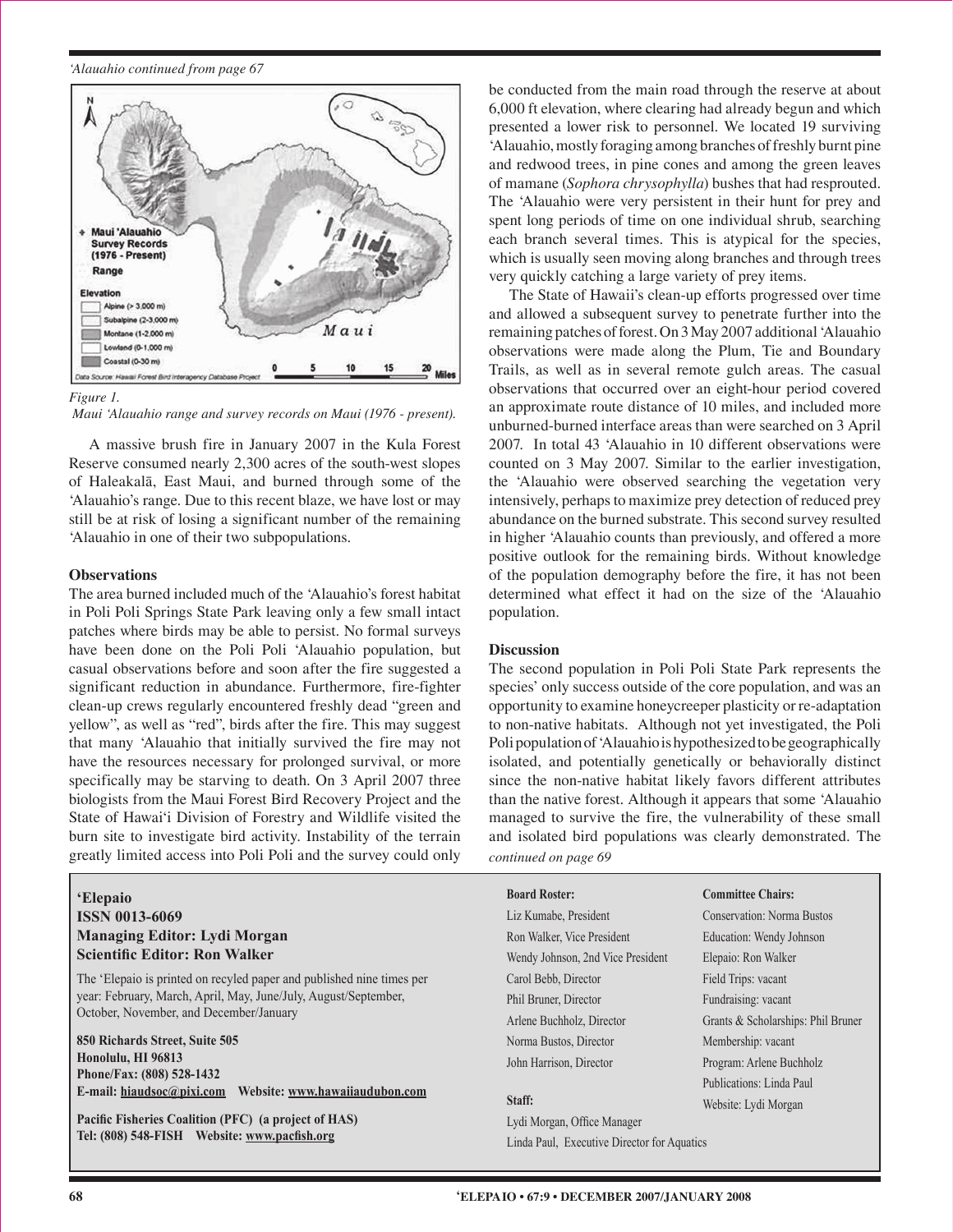*'Alauahio continued from page 67* 



 *Maui 'Alauahio range and survey records on Maui (1976 - present).*

A massive brush fire in January 2007 in the Kula Forest Reserve consumed nearly 2,300 acres of the south-west slopes of Haleakalä, East Maui, and burned through some of the 'Alauahio's range. Due to this recent blaze, we have lost or may still be at risk of losing a significant number of the remaining 'Alauahio in one of their two subpopulations.

### **Observations**

The area burned included much of the 'Alauahio's forest habitat in Poli Poli Springs State Park leaving only a few small intact patches where birds may be able to persist. No formal surveys have been done on the Poli Poli 'Alauahio population, but casual observations before and soon after the fire suggested a significant reduction in abundance. Furthermore, fire-fighter clean-up crews regularly encountered freshly dead "green and yellow", as well as "red", birds after the fire. This may suggest that many 'Alauahio that initially survived the fire may not have the resources necessary for prolonged survival, or more specifically may be starving to death. On 3 April 2007 three biologists from the Maui Forest Bird Recovery Project and the State of Hawai'i Division of Forestry and Wildlife visited the burn site to investigate bird activity. Instability of the terrain greatly limited access into Poli Poli and the survey could only

## **'Elepaio ISSN 0013-6069 Managing Editor: Lydi Morgan Scientific Editor: Ron Walker**

The 'Elepaio is printed on recyled paper and published nine times per year: February, March, April, May, June/July, August/September, October, November, and December/January

**850 Richards Street, Suite 505 Honolulu, HI 96813 Phone/Fax: (808) 528-1432 E-mail: hiaudsoc@pixi.com Website: www.hawaiiaudubon.com**

**Pacific Fisheries Coalition (PFC) (a project of HAS) Tel: (808) 548-FISH Website: www.pacfish.org**

be conducted from the main road through the reserve at about 6,000 ft elevation, where clearing had already begun and which presented a lower risk to personnel. We located 19 surviving 'Alauahio, mostly foraging among branches of freshly burnt pine and redwood trees, in pine cones and among the green leaves of mamane (*Sophora chrysophylla*) bushes that had resprouted. The 'Alauahio were very persistent in their hunt for prey and spent long periods of time on one individual shrub, searching each branch several times. This is atypical for the species, which is usually seen moving along branches and through trees very quickly catching a large variety of prey items.

The State of Hawaii's clean-up efforts progressed over time and allowed a subsequent survey to penetrate further into the remaining patches of forest. On 3 May 2007 additional 'Alauahio observations were made along the Plum, Tie and Boundary Trails, as well as in several remote gulch areas. The casual observations that occurred over an eight-hour period covered an approximate route distance of 10 miles, and included more unburned-burned interface areas than were searched on 3 April 2007. In total 43 'Alauahio in 10 different observations were counted on 3 May 2007. Similar to the earlier investigation, the 'Alauahio were observed searching the vegetation very intensively, perhaps to maximize prey detection of reduced prey abundance on the burned substrate. This second survey resulted in higher 'Alauahio counts than previously, and offered a more positive outlook for the remaining birds. Without knowledge of the population demography before the fire, it has not been determined what effect it had on the size of the 'Alauahio population.

### **Discussion**

The second population in Poli Poli State Park represents the species' only success outside of the core population, and was an opportunity to examine honeycreeper plasticity or re-adaptation to non-native habitats. Although not yet investigated, the Poli Poli population of 'Alauahio is hypothesized to be geographically isolated, and potentially genetically or behaviorally distinct since the non-native habitat likely favors different attributes than the native forest. Although it appears that some 'Alauahio managed to survive the fire, the vulnerability of these small and isolated bird populations was clearly demonstrated. The

*continued on page 69*

**Board Roster:** Liz Kumabe, President Ron Walker, Vice President Wendy Johnson, 2nd Vice President Carol Bebb, Director Phil Bruner, Director Arlene Buchholz, Director Norma Bustos, Director John Harrison, Director

Lydi Morgan, Office Manager Linda Paul, Executive Director for Aquatics

Conservation: Norma Bustos Education: Wendy Johnson Elepaio: Ron Walker Field Trips: vacant Fundraising: vacant Grants & Scholarships: Phil Bruner Membership: vacant Program: Arlene Buchholz Publications: Linda Paul Website: Lydi Morgan **Staff:**

**Committee Chairs:**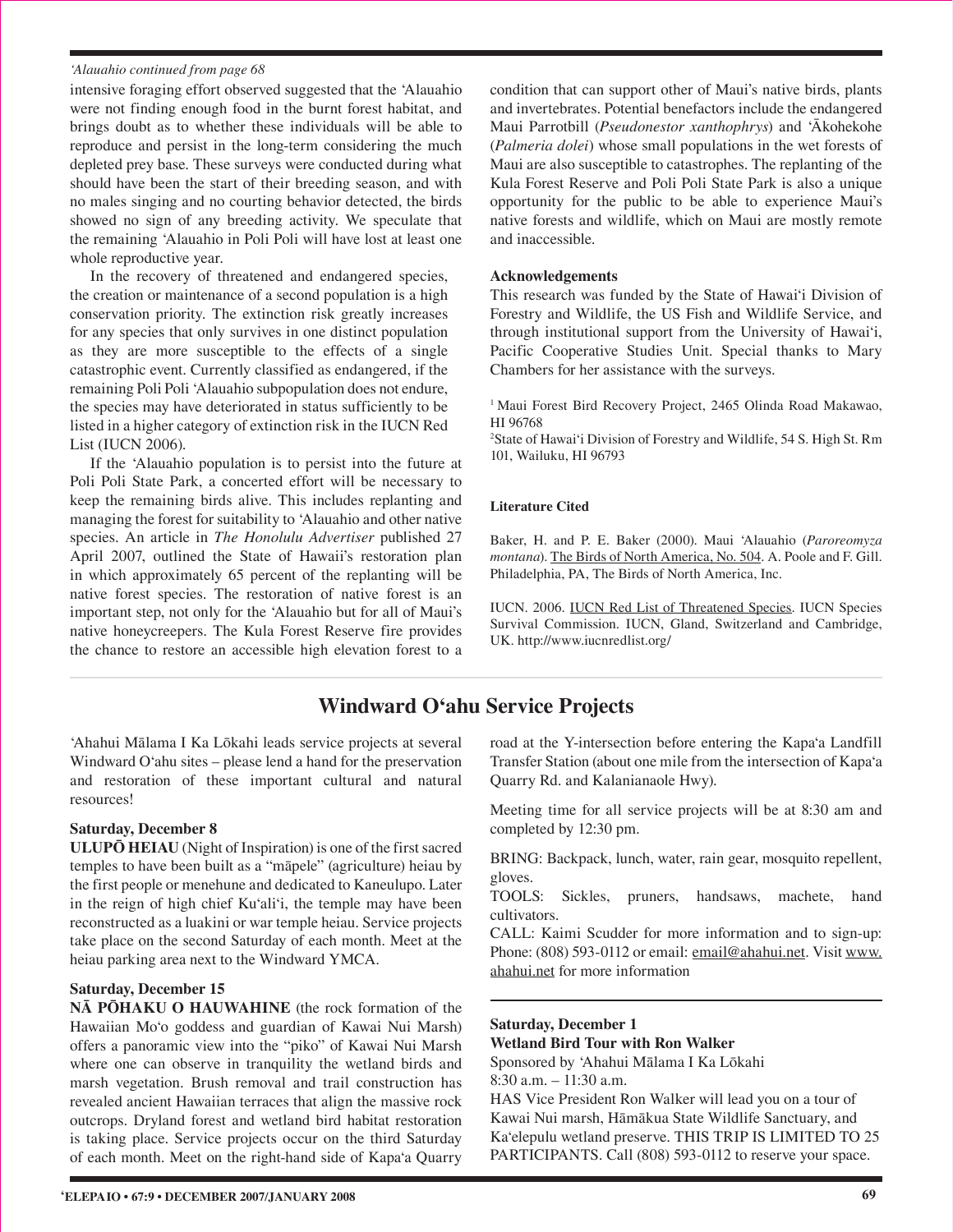#### *'Alauahio continued from page 68*

intensive foraging effort observed suggested that the 'Alauahio were not finding enough food in the burnt forest habitat, and brings doubt as to whether these individuals will be able to reproduce and persist in the long-term considering the much depleted prey base. These surveys were conducted during what should have been the start of their breeding season, and with no males singing and no courting behavior detected, the birds showed no sign of any breeding activity. We speculate that the remaining 'Alauahio in Poli Poli will have lost at least one whole reproductive year.

In the recovery of threatened and endangered species, the creation or maintenance of a second population is a high conservation priority. The extinction risk greatly increases for any species that only survives in one distinct population as they are more susceptible to the effects of a single catastrophic event. Currently classified as endangered, if the remaining Poli Poli 'Alauahio subpopulation does not endure, the species may have deteriorated in status sufficiently to be listed in a higher category of extinction risk in the IUCN Red List (IUCN 2006).

If the 'Alauahio population is to persist into the future at Poli Poli State Park, a concerted effort will be necessary to keep the remaining birds alive. This includes replanting and managing the forest for suitability to 'Alauahio and other native species. An article in *The Honolulu Advertiser* published 27 April 2007, outlined the State of Hawaii's restoration plan in which approximately 65 percent of the replanting will be native forest species. The restoration of native forest is an important step, not only for the 'Alauahio but for all of Maui's native honeycreepers. The Kula Forest Reserve fire provides the chance to restore an accessible high elevation forest to a

condition that can support other of Maui's native birds, plants and invertebrates. Potential benefactors include the endangered Maui Parrotbill (*Pseudonestor xanthophrys*) and 'Äkohekohe (*Palmeria dolei*) whose small populations in the wet forests of Maui are also susceptible to catastrophes. The replanting of the Kula Forest Reserve and Poli Poli State Park is also a unique opportunity for the public to be able to experience Maui's native forests and wildlife, which on Maui are mostly remote and inaccessible.

#### **Acknowledgements**

This research was funded by the State of Hawai'i Division of Forestry and Wildlife, the US Fish and Wildlife Service, and through institutional support from the University of Hawai'i, Pacific Cooperative Studies Unit. Special thanks to Mary Chambers for her assistance with the surveys.

<sup>1</sup> Maui Forest Bird Recovery Project, 2465 Olinda Road Makawao, HI 96768

2 State of Hawai'i Division of Forestry and Wildlife, 54 S. High St. Rm 101, Wailuku, HI 96793

#### **Literature Cited**

Baker, H. and P. E. Baker (2000). Maui 'Alauahio (*Paroreomyza montana*). The Birds of North America, No. 504. A. Poole and F. Gill. Philadelphia, PA, The Birds of North America, Inc.

IUCN. 2006. IUCN Red List of Threatened Species. IUCN Species Survival Commission. IUCN, Gland, Switzerland and Cambridge, UK. http://www.iucnredlist.org/

## **Windward O'ahu Service Projects**

'Ahahui Mälama I Ka Lökahi leads service projects at several Windward O'ahu sites – please lend a hand for the preservation and restoration of these important cultural and natural resources!

#### **Saturday, December 8**

**ULUPŌ HEIAU** (Night of Inspiration) is one of the first sacred temples to have been built as a "mäpele" (agriculture) heiau by the first people or menehune and dedicated to Kaneulupo. Later in the reign of high chief Ku'ali'i, the temple may have been reconstructed as a luakini or war temple heiau. Service projects take place on the second Saturday of each month. Meet at the heiau parking area next to the Windward YMCA.

#### **Saturday, December 15**

**NĀ PŌHAKU O HAUWAHINE** (the rock formation of the Hawaiian Mo'o goddess and guardian of Kawai Nui Marsh) offers a panoramic view into the "piko" of Kawai Nui Marsh where one can observe in tranquility the wetland birds and marsh vegetation. Brush removal and trail construction has revealed ancient Hawaiian terraces that align the massive rock outcrops. Dryland forest and wetland bird habitat restoration is taking place. Service projects occur on the third Saturday of each month. Meet on the right-hand side of Kapa'a Quarry

road at the Y-intersection before entering the Kapa'a Landfill Transfer Station (about one mile from the intersection of Kapa'a Quarry Rd. and Kalanianaole Hwy).

Meeting time for all service projects will be at 8:30 am and completed by 12:30 pm.

BRING: Backpack, lunch, water, rain gear, mosquito repellent, gloves.

TOOLS: Sickles, pruners, handsaws, machete, hand cultivators.

CALL: Kaimi Scudder for more information and to sign-up: Phone: (808) 593-0112 or email: email@ahahui.net. Visit www. ahahui.net for more information

## **Saturday, December 1**

**Wetland Bird Tour with Ron Walker**

Sponsored by 'Ahahui Mälama I Ka Lökahi 8:30 a.m. – 11:30 a.m.

HAS Vice President Ron Walker will lead you on a tour of Kawai Nui marsh, Hämäkua State Wildlife Sanctuary, and Ka'elepulu wetland preserve. THIS TRIP IS LIMITED TO 25 PARTICIPANTS. Call (808) 593-0112 to reserve your space.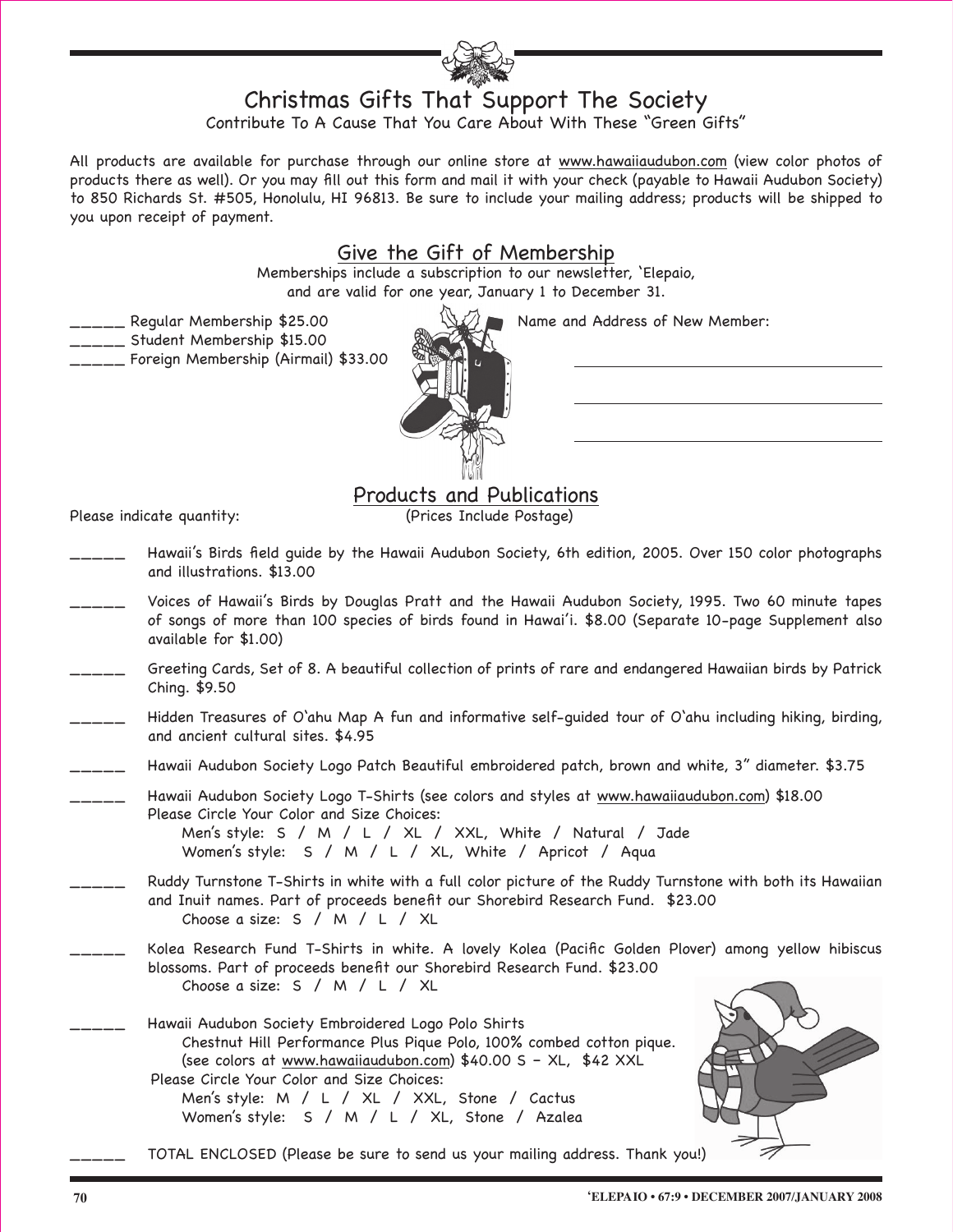## Christmas Gifts That Support The Society

Contribute To A Cause That You Care About With These "Green Gifts"

All products are available for purchase through our online store at www.hawaiiaudubon.com (view color photos of products there as well). Or you may fill out this form and mail it with your check (payable to Hawaii Audubon Society) to 850 Richards St. #505, Honolulu, HI 96813. Be sure to include your mailing address; products will be shipped to you upon receipt of payment.

## Give the Gift of Membership

Memberships include a subscription to our newsletter, 'Elepaio, and are valid for one year, January 1 to December 31.

Legular Membership \$25.00 Name and Address of New Member:

\_\_\_\_\_ Student Membership \$15.00

Please indicate quantity:

\_\_\_\_\_ Foreign Membership (Airmail) \$33.00



\_\_\_\_\_ Hawaii's Birds field guide by the Hawaii Audubon Society, 6th edition, 2005. Over 150 color photographs and illustrations. \$13.00

**Products and Publications**<br>(Prices Include Postage)

- Voices of Hawaii's Birds by Douglas Pratt and the Hawaii Audubon Society, 1995. Two 60 minute tapes of songs of more than 100 species of birds found in Hawai'i. \$8.00 (Separate 10-page Supplement also available for \$1.00)
- \_\_\_\_\_ Greeting Cards, Set of 8. A beautiful collection of prints of rare and endangered Hawaiian birds by Patrick Ching. \$9.50
- Hidden Treasures of O'ahu Map A fun and informative self-quided tour of O'ahu including hiking, birding, and ancient cultural sites. \$4.95
- Hawaii Audubon Society Logo Patch Beautiful embroidered patch, brown and white, 3" diameter. \$3.75

Hawaii Audubon Society Logo T-Shirts (see colors and styles at www.hawaiiaudubon.com) \$18.00 Please Circle Your Color and Size Choices:

 Men's style: S / M / L / XL / XXL, White / Natural / Jade Women's style: S / M / L / XL, White / Apricot / Aqua

- Ruddy Turnstone T-Shirts in white with a full color picture of the Ruddy Turnstone with both its Hawaiian and Inuit names. Part of proceeds benefit our Shorebird Research Fund. \$23.00 Choose a size: S / M / L / XL
- Kolea Research Fund T-Shirts in white. A lovely Kolea (Pacific Golden Plover) among yellow hibiscus blossoms. Part of proceeds benefit our Shorebird Research Fund. \$23.00 Choose a size: S / M / L / XL
	- Hawaii Audubon Society Embroidered Logo Polo Shirts Chestnut Hill Performance Plus Pique Polo, 100% combed cotton pique. (see colors at www.hawaiiaudubon.com) \$40.00 S – XL, \$42 XXL Please Circle Your Color and Size Choices: Men's style: M / L / XL / XXL, Stone / Cactus

Women's style: S / M / L / XL, Stone / Azalea



TOTAL ENCLOSED (Please be sure to send us your mailing address. Thank you!)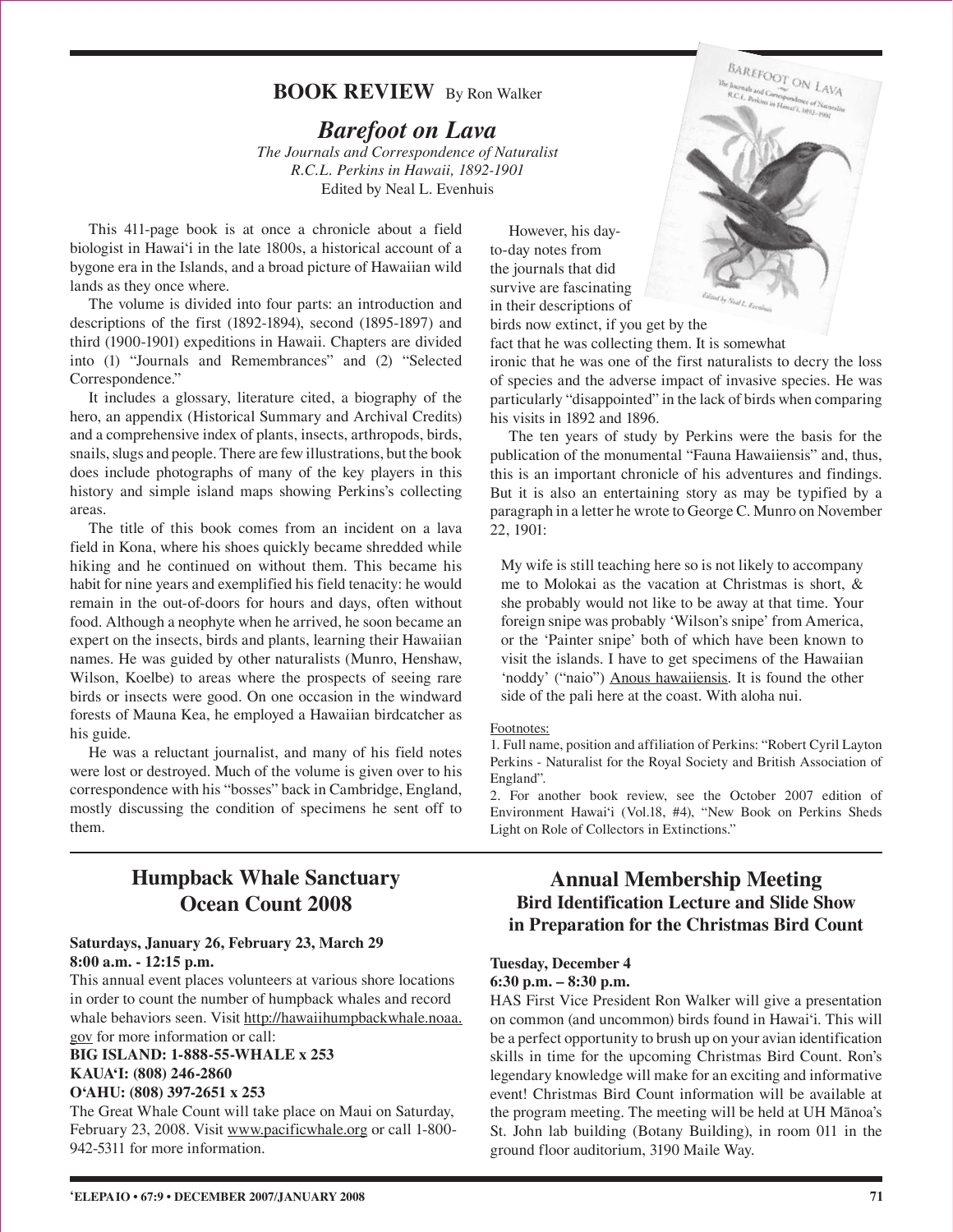## **BOOK REVIEW** By Ron Walker

## *Barefoot on Lava*

*The Journals and Correspondence of Naturalist R.C.L. Perkins in Hawaii, 1892-1901* Edited by Neal L. Evenhuis

This 411-page book is at once a chronicle about a field biologist in Hawai'i in the late 1800s, a historical account of a bygone era in the Islands, and a broad picture of Hawaiian wild lands as they once where.

The volume is divided into four parts: an introduction and descriptions of the first (1892-1894), second (1895-1897) and third (1900-1901) expeditions in Hawaii. Chapters are divided into (1) "Journals and Remembrances" and (2) "Selected Correspondence."

It includes a glossary, literature cited, a biography of the hero, an appendix (Historical Summary and Archival Credits) and a comprehensive index of plants, insects, arthropods, birds, snails, slugs and people. There are few illustrations, but the book does include photographs of many of the key players in this history and simple island maps showing Perkins's collecting areas.

The title of this book comes from an incident on a lava field in Kona, where his shoes quickly became shredded while hiking and he continued on without them. This became his habit for nine years and exemplified his field tenacity: he would remain in the out-of-doors for hours and days, often without food. Although a neophyte when he arrived, he soon became an expert on the insects, birds and plants, learning their Hawaiian names. He was guided by other naturalists (Munro, Henshaw, Wilson, Koelbe) to areas where the prospects of seeing rare birds or insects were good. On one occasion in the windward forests of Mauna Kea, he employed a Hawaiian birdcatcher as his guide.

He was a reluctant journalist, and many of his field notes were lost or destroyed. Much of the volume is given over to his correspondence with his "bosses" back in Cambridge, England, mostly discussing the condition of specimens he sent off to them.

## **Humpback Whale Sanctuary Ocean Count 2008**

## **Saturdays, January 26, February 23, March 29 8:00 a.m. - 12:15 p.m.**

This annual event places volunteers at various shore locations in order to count the number of humpback whales and record whale behaviors seen. Visit http://hawaiihumpbackwhale.noaa. gov for more information or call:

### **BIG ISLAND: 1-888-55-WHALE x 253 KAUA'I: (808) 246-2860 O'AHU: (808) 397-2651 x 253**

The Great Whale Count will take place on Maui on Saturday, February 23, 2008. Visit www.pacificwhale.org or call 1-800-942-5311 for more information.

However, his dayto-day notes from the journals that did survive are fascinating in their descriptions of

birds now extinct, if you get by the fact that he was collecting them. It is somewhat

ironic that he was one of the first naturalists to decry the loss of species and the adverse impact of invasive species. He was particularly "disappointed" in the lack of birds when comparing his visits in 1892 and 1896.

The ten years of study by Perkins were the basis for the publication of the monumental "Fauna Hawaiiensis" and, thus, this is an important chronicle of his adventures and findings. But it is also an entertaining story as may be typified by a paragraph in a letter he wrote to George C. Munro on November 22, 1901:

My wife is still teaching here so is not likely to accompany me to Molokai as the vacation at Christmas is short, & she probably would not like to be away at that time. Your foreign snipe was probably 'Wilson's snipe' from America, or the 'Painter snipe' both of which have been known to visit the islands. I have to get specimens of the Hawaiian 'noddy' ("naio") Anous hawaiiensis. It is found the other side of the pali here at the coast. With aloha nui.

### Footnotes:

1. Full name, position and affiliation of Perkins: "Robert Cyril Layton Perkins - Naturalist for the Royal Society and British Association of England".

2. For another book review, see the October 2007 edition of Environment Hawai'i (Vol.18, #4), "New Book on Perkins Sheds Light on Role of Collectors in Extinctions."

## **Annual Membership Meeting Bird Identification Lecture and Slide Show in Preparation for the Christmas Bird Count**

### **Tuesday, December 4 6:30 p.m. – 8:30 p.m.**

HAS First Vice President Ron Walker will give a presentation on common (and uncommon) birds found in Hawai'i. This will be a perfect opportunity to brush up on your avian identification skills in time for the upcoming Christmas Bird Count. Ron's legendary knowledge will make for an exciting and informative event! Christmas Bird Count information will be available at the program meeting. The meeting will be held at UH Mänoa's St. John lab building (Botany Building), in room 011 in the ground floor auditorium, 3190 Maile Way.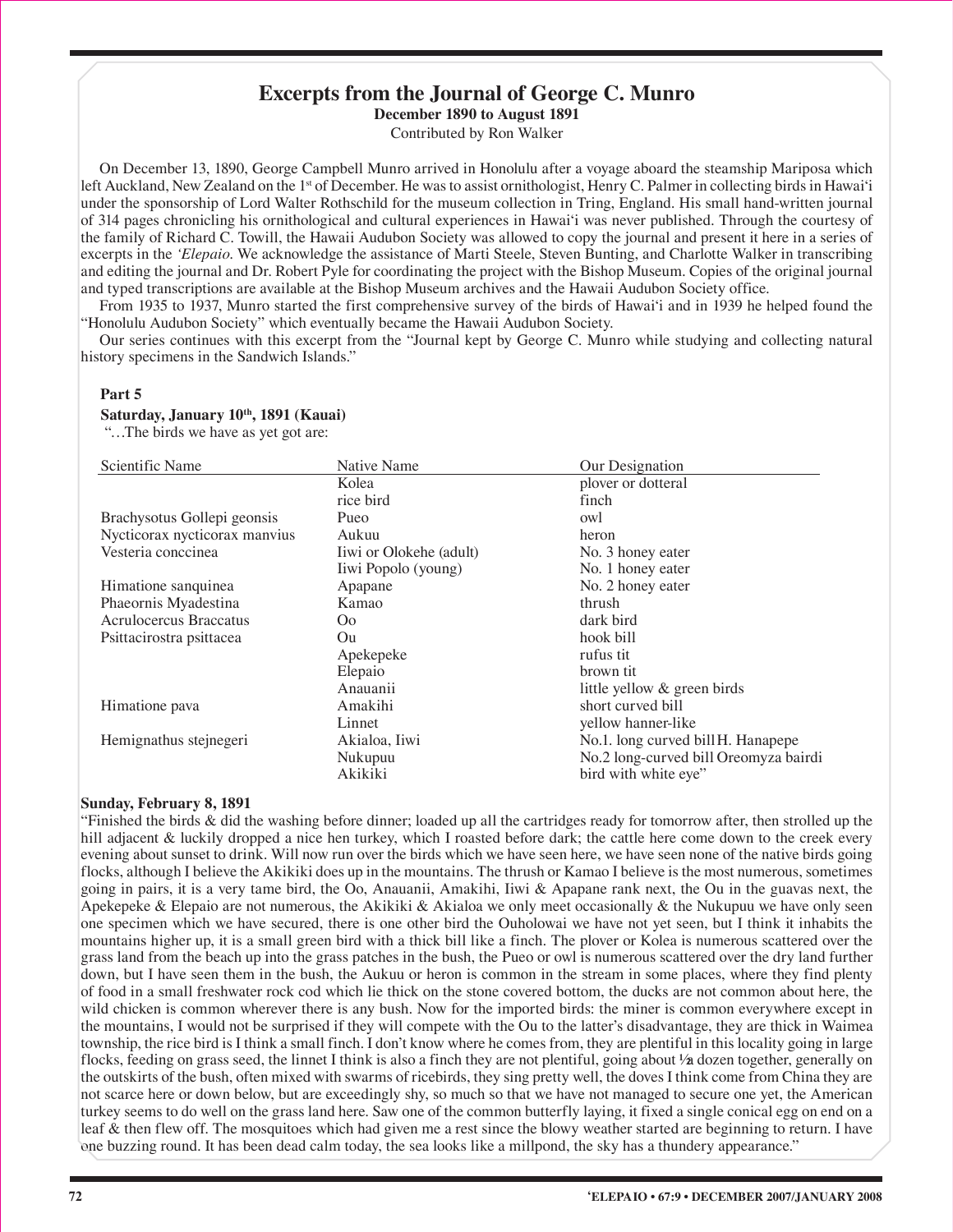## **Excerpts from the Journal of George C. Munro**

**December 1890 to August 1891**

Contributed by Ron Walker

On December 13, 1890, George Campbell Munro arrived in Honolulu after a voyage aboard the steamship Mariposa which left Auckland, New Zealand on the 1<sup>st</sup> of December. He was to assist ornithologist, Henry C. Palmer in collecting birds in Hawai'i under the sponsorship of Lord Walter Rothschild for the museum collection in Tring, England. His small hand-written journal of 314 pages chronicling his ornithological and cultural experiences in Hawai'i was never published. Through the courtesy of the family of Richard C. Towill, the Hawaii Audubon Society was allowed to copy the journal and present it here in a series of excerpts in the *'Elepaio*. We acknowledge the assistance of Marti Steele, Steven Bunting, and Charlotte Walker in transcribing and editing the journal and Dr. Robert Pyle for coordinating the project with the Bishop Museum. Copies of the original journal and typed transcriptions are available at the Bishop Museum archives and the Hawaii Audubon Society office.

From 1935 to 1937, Munro started the first comprehensive survey of the birds of Hawai'i and in 1939 he helped found the "Honolulu Audubon Society" which eventually became the Hawaii Audubon Society.

Our series continues with this excerpt from the "Journal kept by George C. Munro while studying and collecting natural history specimens in the Sandwich Islands."

## **Part 5**

#### Saturday, January 10<sup>th</sup>, 1891 (Kauai)

"…The birds we have as yet got are:

| Scientific Name               | Native Name             | Our Designation                       |
|-------------------------------|-------------------------|---------------------------------------|
|                               | Kolea                   | plover or dotteral                    |
|                               | rice bird               | finch                                 |
| Brachysotus Gollepi geonsis   | Pueo                    | owl                                   |
| Nycticorax nycticorax manvius | Aukuu                   | heron                                 |
| Vesteria conccinea            | Iiwi or Olokehe (adult) | No. 3 honey eater                     |
|                               | Iiwi Popolo (young)     | No. 1 honey eater                     |
| Himatione sanquinea           | Apapane                 | No. 2 honey eater                     |
| Phaeornis Myadestina          | Kamao                   | thrush                                |
| Acrulocercus Braccatus        | O <sub>o</sub>          | dark bird                             |
| Psittacirostra psittacea      | Ou                      | hook bill                             |
|                               | Apekepeke               | rufus tit                             |
|                               | Elepaio                 | brown tit                             |
|                               | Anauanii                | little yellow & green birds           |
| Himatione pava                | Amakihi                 | short curved bill                     |
|                               | Linnet                  | yellow hanner-like                    |
| Hemignathus stejnegeri        | Akialoa, Iiwi           | No.1. long curved bill H. Hanapepe    |
|                               | Nukupuu                 | No.2 long-curved bill Oreomyza bairdi |
|                               | Akikiki                 | bird with white eye"                  |

#### **Sunday, February 8, 1891**

"Finished the birds & did the washing before dinner; loaded up all the cartridges ready for tomorrow after, then strolled up the hill adjacent & luckily dropped a nice hen turkey, which I roasted before dark; the cattle here come down to the creek every evening about sunset to drink. Will now run over the birds which we have seen here, we have seen none of the native birds going flocks, although I believe the Akikiki does up in the mountains. The thrush or Kamao I believe is the most numerous, sometimes going in pairs, it is a very tame bird, the Oo, Anauanii, Amakihi, Iiwi & Apapane rank next, the Ou in the guavas next, the Apekepeke & Elepaio are not numerous, the Akikiki & Akialoa we only meet occasionally & the Nukupuu we have only seen one specimen which we have secured, there is one other bird the Ouholowai we have not yet seen, but I think it inhabits the mountains higher up, it is a small green bird with a thick bill like a finch. The plover or Kolea is numerous scattered over the grass land from the beach up into the grass patches in the bush, the Pueo or owl is numerous scattered over the dry land further down, but I have seen them in the bush, the Aukuu or heron is common in the stream in some places, where they find plenty of food in a small freshwater rock cod which lie thick on the stone covered bottom, the ducks are not common about here, the wild chicken is common wherever there is any bush. Now for the imported birds: the miner is common everywhere except in the mountains, I would not be surprised if they will compete with the Ou to the latter's disadvantage, they are thick in Waimea township, the rice bird is I think a small finch. I don't know where he comes from, they are plentiful in this locality going in large flocks, feeding on grass seed, the linnet I think is also a finch they are not plentiful, going about ½ a dozen together, generally on the outskirts of the bush, often mixed with swarms of ricebirds, they sing pretty well, the doves I think come from China they are not scarce here or down below, but are exceedingly shy, so much so that we have not managed to secure one yet, the American turkey seems to do well on the grass land here. Saw one of the common butterfly laying, it fixed a single conical egg on end on a leaf & then flew off. The mosquitoes which had given me a rest since the blowy weather started are beginning to return. I have one buzzing round. It has been dead calm today, the sea looks like a millpond, the sky has a thundery appearance."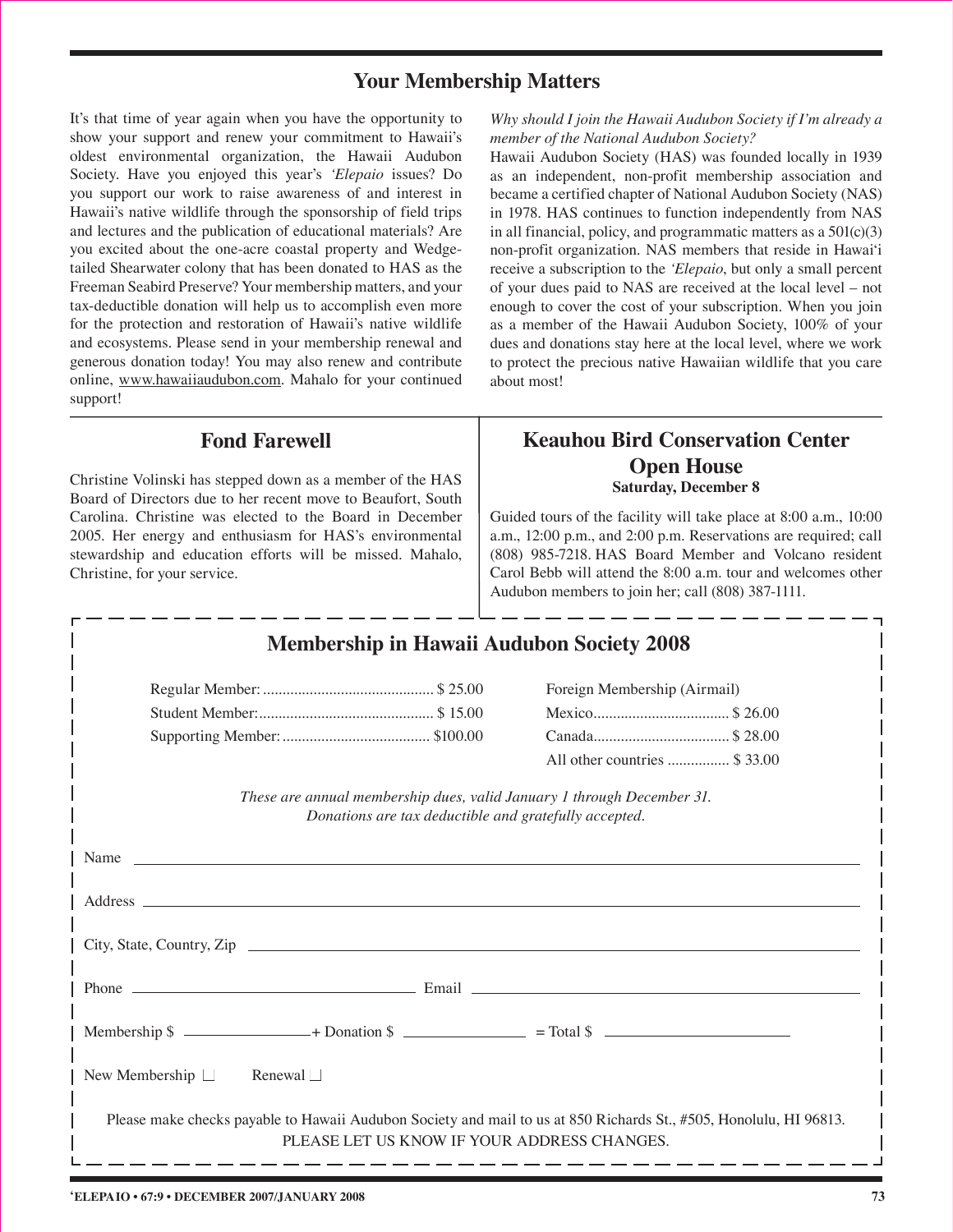## **Your Membership Matters**

It's that time of year again when you have the opportunity to show your support and renew your commitment to Hawaii's oldest environmental organization, the Hawaii Audubon Society. Have you enjoyed this year's *'Elepaio* issues? Do you support our work to raise awareness of and interest in Hawaii's native wildlife through the sponsorship of field trips and lectures and the publication of educational materials? Are you excited about the one-acre coastal property and Wedgetailed Shearwater colony that has been donated to HAS as the Freeman Seabird Preserve? Your membership matters, and your tax-deductible donation will help us to accomplish even more for the protection and restoration of Hawaii's native wildlife and ecosystems. Please send in your membership renewal and generous donation today! You may also renew and contribute online, www.hawaiiaudubon.com. Mahalo for your continued support!

*Why should I join the Hawaii Audubon Society if I'm already a member of the National Audubon Society?*

Hawaii Audubon Society (HAS) was founded locally in 1939 as an independent, non-profit membership association and became a certified chapter of National Audubon Society (NAS) in 1978. HAS continues to function independently from NAS in all financial, policy, and programmatic matters as a 501(c)(3) non-profit organization. NAS members that reside in Hawai'i receive a subscription to the *'Elepaio*, but only a small percent of your dues paid to NAS are received at the local level – not enough to cover the cost of your subscription. When you join as a member of the Hawaii Audubon Society, 100% of your dues and donations stay here at the local level, where we work to protect the precious native Hawaiian wildlife that you care about most!

## **Fond Farewell**

Christine Volinski has stepped down as a member of the HAS Board of Directors due to her recent move to Beaufort, South Carolina. Christine was elected to the Board in December 2005. Her energy and enthusiasm for HAS's environmental stewardship and education efforts will be missed. Mahalo, Christine, for your service.

## **Saturday, December 8 Keauhou Bird Conservation Center Open House**

Guided tours of the facility will take place at 8:00 a.m., 10:00 a.m., 12:00 p.m., and 2:00 p.m. Reservations are required; call (808) 985-7218. HAS Board Member and Volcano resident Carol Bebb will attend the 8:00 a.m. tour and welcomes other Audubon members to join her; call (808) 387-1111.

| <b>Membership in Hawaii Audubon Society 2008</b>                                                                                                                  |                               |  |  |  |  |  |
|-------------------------------------------------------------------------------------------------------------------------------------------------------------------|-------------------------------|--|--|--|--|--|
|                                                                                                                                                                   | Foreign Membership (Airmail)  |  |  |  |  |  |
|                                                                                                                                                                   | Mexico\$26.00                 |  |  |  |  |  |
|                                                                                                                                                                   |                               |  |  |  |  |  |
|                                                                                                                                                                   | All other countries  \$ 33.00 |  |  |  |  |  |
| These are annual membership dues, valid January 1 through December 31.<br>Donations are tax deductible and gratefully accepted.                                   |                               |  |  |  |  |  |
|                                                                                                                                                                   |                               |  |  |  |  |  |
|                                                                                                                                                                   |                               |  |  |  |  |  |
| City, State, Country, Zip                                                                                                                                         |                               |  |  |  |  |  |
|                                                                                                                                                                   |                               |  |  |  |  |  |
|                                                                                                                                                                   |                               |  |  |  |  |  |
| New Membership $\Box$<br>Renewal $\Box$                                                                                                                           |                               |  |  |  |  |  |
| Please make checks payable to Hawaii Audubon Society and mail to us at 850 Richards St., #505, Honolulu, HI 96813.<br>PLEASE LET US KNOW IF YOUR ADDRESS CHANGES. |                               |  |  |  |  |  |